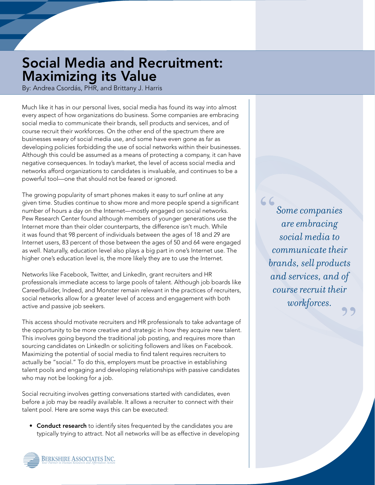## Social Media and Recruitment: Maximizing its Value

By: Andrea Csordás, PHR, and Brittany J. Harris

Much like it has in our personal lives, social media has found its way into almost every aspect of how organizations do business. Some companies are embracing social media to communicate their brands, sell products and services, and of course recruit their workforces. On the other end of the spectrum there are businesses weary of social media use, and some have even gone as far as developing policies forbidding the use of social networks within their businesses. Although this could be assumed as a means of protecting a company, it can have negative consequences. In today's market, the level of access social media and networks afford organizations to candidates is invaluable, and continues to be a powerful tool—one that should not be feared or ignored.

The growing popularity of smart phones makes it easy to surf online at any given time. Studies continue to show more and more people spend a significant number of hours a day on the Internet—mostly engaged on social networks. Pew Research Center found although members of younger generations use the Internet more than their older counterparts, the difference isn't much. While it was found that 98 percent of individuals between the ages of 18 and 29 are Internet users, 83 percent of those between the ages of 50 and 64 were engaged as well. Naturally, education level also plays a big part in one's Internet use. The higher one's education level is, the more likely they are to use the Internet.

Networks like Facebook, Twitter, and LinkedIn, grant recruiters and HR professionals immediate access to large pools of talent. Although job boards like CareerBuilder, Indeed, and Monster remain relevant in the practices of recruiters, social networks allow for a greater level of access and engagement with both active and passive job seekers.

This access should motivate recruiters and HR professionals to take advantage of the opportunity to be more creative and strategic in how they acquire new talent. This involves going beyond the traditional job posting, and requires more than sourcing candidates on LinkedIn or soliciting followers and likes on Facebook. Maximizing the potential of social media to find talent requires recruiters to actually be "social." To do this, employers must be proactive in establishing talent pools and engaging and developing relationships with passive candidates who may not be looking for a job.

Social recruiting involves getting conversations started with candidates, even before a job may be readily available. It allows a recruiter to connect with their talent pool. Here are some ways this can be executed:

• Conduct research to identify sites frequented by the candidates you are typically trying to attract. Not all networks will be as effective in developing

*Some companies are embracing social media to communicate their brands, sell products and services, and of course recruit their workforces.*  " ,,